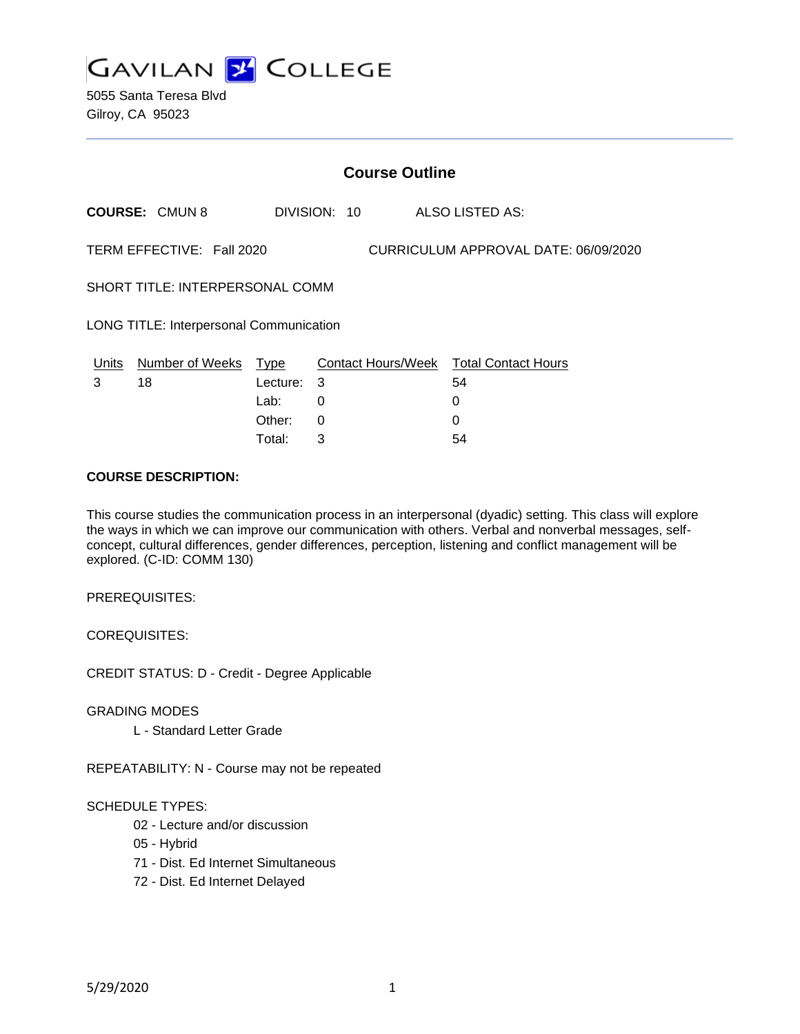

5055 Santa Teresa Blvd Gilroy, CA 95023

|                                                |                       |                  |              | <b>Course Outline</b>                |                                              |  |  |
|------------------------------------------------|-----------------------|------------------|--------------|--------------------------------------|----------------------------------------------|--|--|
|                                                | <b>COURSE: CMUN 8</b> |                  | DIVISION: 10 |                                      | ALSO LISTED AS:                              |  |  |
| TERM EFFECTIVE: Fall 2020                      |                       |                  |              | CURRICULUM APPROVAL DATE: 06/09/2020 |                                              |  |  |
| SHORT TITLE: INTERPERSONAL COMM                |                       |                  |              |                                      |                                              |  |  |
| <b>LONG TITLE: Interpersonal Communication</b> |                       |                  |              |                                      |                                              |  |  |
| Units<br>3                                     | Number of Weeks<br>18 | Type<br>Lecture: | 3            |                                      | Contact Hours/Week Total Contact Hours<br>54 |  |  |
|                                                |                       | Lab:             | 0            |                                      | 0                                            |  |  |
|                                                |                       | Other:           | 0            |                                      | 0                                            |  |  |

Total: 3 54

#### **COURSE DESCRIPTION:**

This course studies the communication process in an interpersonal (dyadic) setting. This class will explore the ways in which we can improve our communication with others. Verbal and nonverbal messages, selfconcept, cultural differences, gender differences, perception, listening and conflict management will be explored. (C-ID: COMM 130)

PREREQUISITES:

COREQUISITES:

CREDIT STATUS: D - Credit - Degree Applicable

GRADING MODES

L - Standard Letter Grade

REPEATABILITY: N - Course may not be repeated

### SCHEDULE TYPES:

- 02 Lecture and/or discussion
- 05 Hybrid
- 71 Dist. Ed Internet Simultaneous
- 72 Dist. Ed Internet Delayed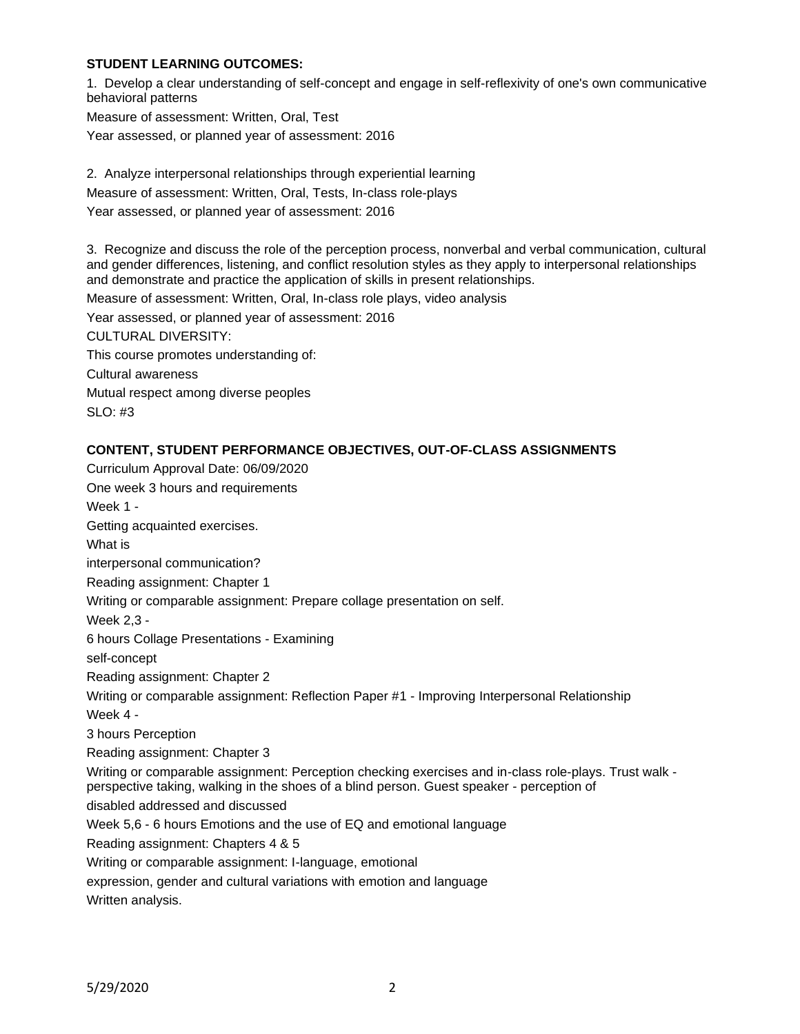### **STUDENT LEARNING OUTCOMES:**

1. Develop a clear understanding of self-concept and engage in self-reflexivity of one's own communicative behavioral patterns

Measure of assessment: Written, Oral, Test Year assessed, or planned year of assessment: 2016

2. Analyze interpersonal relationships through experiential learning Measure of assessment: Written, Oral, Tests, In-class role-plays Year assessed, or planned year of assessment: 2016

3. Recognize and discuss the role of the perception process, nonverbal and verbal communication, cultural and gender differences, listening, and conflict resolution styles as they apply to interpersonal relationships and demonstrate and practice the application of skills in present relationships.

Measure of assessment: Written, Oral, In-class role plays, video analysis

Year assessed, or planned year of assessment: 2016

CULTURAL DIVERSITY: This course promotes understanding of: Cultural awareness

Mutual respect among diverse peoples

SLO: #3

# **CONTENT, STUDENT PERFORMANCE OBJECTIVES, OUT-OF-CLASS ASSIGNMENTS**

Curriculum Approval Date: 06/09/2020 One week 3 hours and requirements Week 1 - Getting acquainted exercises. What is interpersonal communication? Reading assignment: Chapter 1 Writing or comparable assignment: Prepare collage presentation on self. Week 2,3 - 6 hours Collage Presentations - Examining self-concept Reading assignment: Chapter 2 Writing or comparable assignment: Reflection Paper #1 - Improving Interpersonal Relationship Week 4 - 3 hours Perception Reading assignment: Chapter 3 Writing or comparable assignment: Perception checking exercises and in-class role-plays. Trust walk perspective taking, walking in the shoes of a blind person. Guest speaker - perception of disabled addressed and discussed Week 5,6 - 6 hours Emotions and the use of EQ and emotional language Reading assignment: Chapters 4 & 5 Writing or comparable assignment: I-language, emotional expression, gender and cultural variations with emotion and language Written analysis.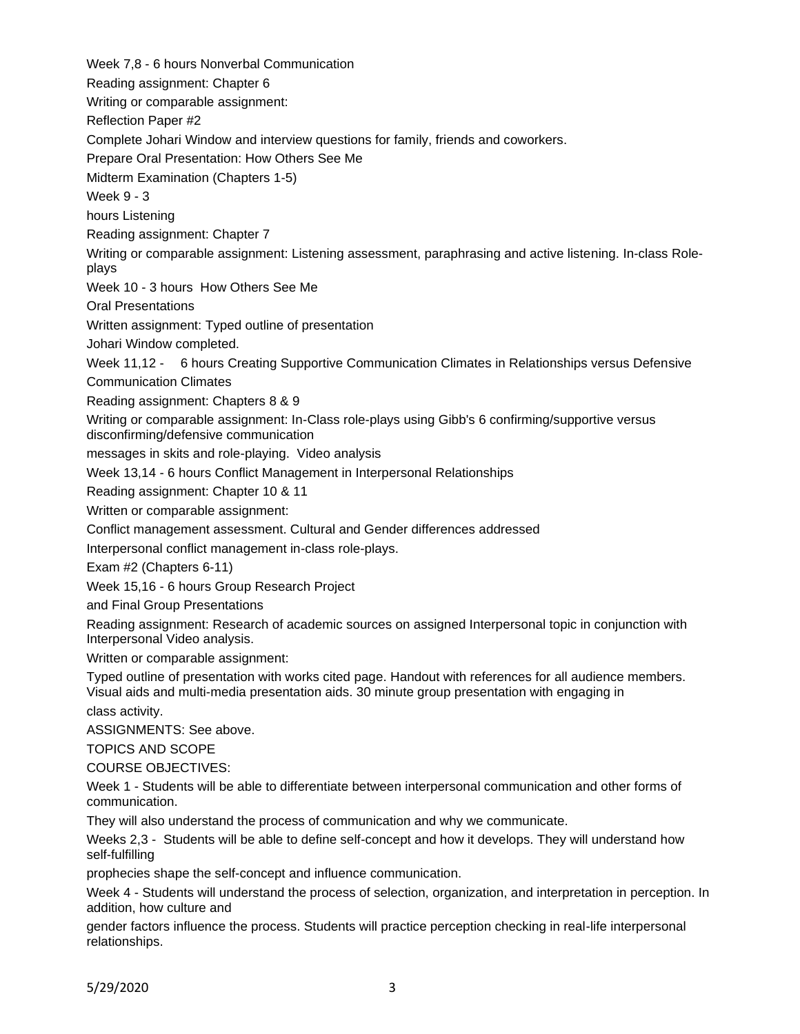Week 7,8 - 6 hours Nonverbal Communication Reading assignment: Chapter 6 Writing or comparable assignment: Reflection Paper #2 Complete Johari Window and interview questions for family, friends and coworkers. Prepare Oral Presentation: How Others See Me Midterm Examination (Chapters 1-5) Week 9 - 3 hours Listening Reading assignment: Chapter 7 Writing or comparable assignment: Listening assessment, paraphrasing and active listening. In-class Roleplays Week 10 - 3 hours How Others See Me Oral Presentations Written assignment: Typed outline of presentation Johari Window completed. Week 11,12 - 6 hours Creating Supportive Communication Climates in Relationships versus Defensive Communication Climates Reading assignment: Chapters 8 & 9 Writing or comparable assignment: In-Class role-plays using Gibb's 6 confirming/supportive versus disconfirming/defensive communication messages in skits and role-playing. Video analysis Week 13,14 - 6 hours Conflict Management in Interpersonal Relationships Reading assignment: Chapter 10 & 11 Written or comparable assignment: Conflict management assessment. Cultural and Gender differences addressed Interpersonal conflict management in-class role-plays. Exam #2 (Chapters 6-11) Week 15,16 - 6 hours Group Research Project and Final Group Presentations Reading assignment: Research of academic sources on assigned Interpersonal topic in conjunction with Interpersonal Video analysis. Written or comparable assignment: Typed outline of presentation with works cited page. Handout with references for all audience members. Visual aids and multi-media presentation aids. 30 minute group presentation with engaging in class activity. ASSIGNMENTS: See above. TOPICS AND SCOPE COURSE OBJECTIVES: Week 1 - Students will be able to differentiate between interpersonal communication and other forms of communication. They will also understand the process of communication and why we communicate. Weeks 2,3 - Students will be able to define self-concept and how it develops. They will understand how self-fulfilling prophecies shape the self-concept and influence communication. Week 4 - Students will understand the process of selection, organization, and interpretation in perception. In addition, how culture and

gender factors influence the process. Students will practice perception checking in real-life interpersonal relationships.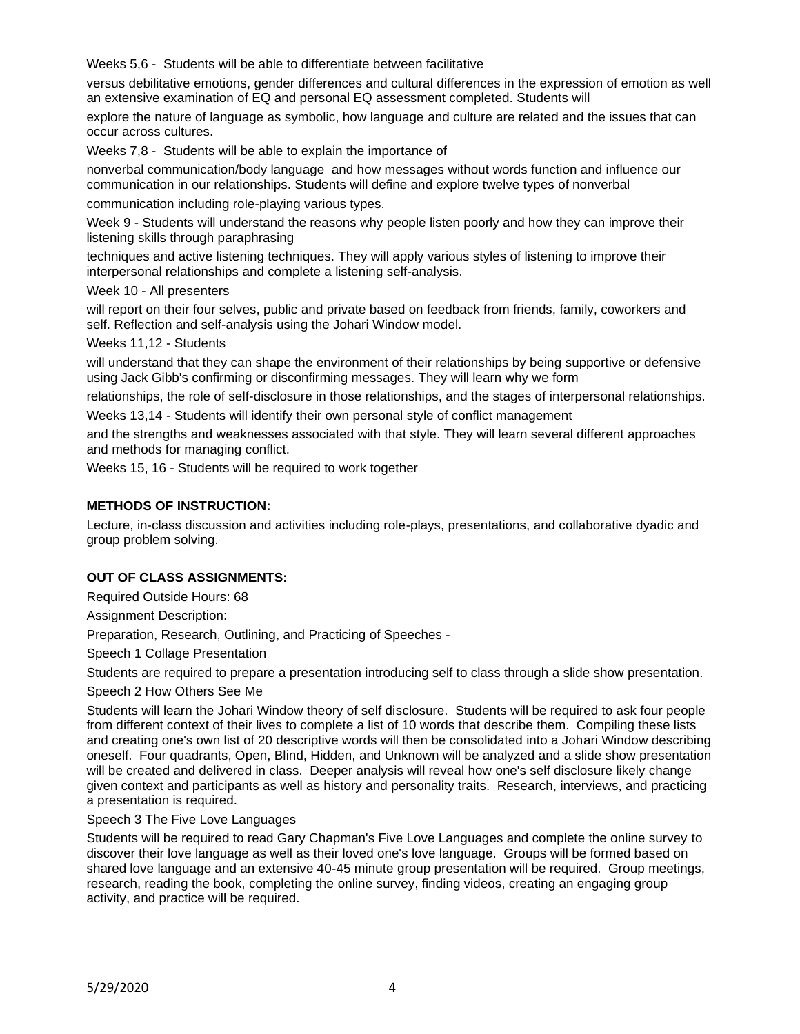Weeks 5,6 - Students will be able to differentiate between facilitative

versus debilitative emotions, gender differences and cultural differences in the expression of emotion as well an extensive examination of EQ and personal EQ assessment completed. Students will

explore the nature of language as symbolic, how language and culture are related and the issues that can occur across cultures.

Weeks 7,8 - Students will be able to explain the importance of

nonverbal communication/body language and how messages without words function and influence our communication in our relationships. Students will define and explore twelve types of nonverbal

communication including role-playing various types.

Week 9 - Students will understand the reasons why people listen poorly and how they can improve their listening skills through paraphrasing

techniques and active listening techniques. They will apply various styles of listening to improve their interpersonal relationships and complete a listening self-analysis.

Week 10 - All presenters

will report on their four selves, public and private based on feedback from friends, family, coworkers and self. Reflection and self-analysis using the Johari Window model.

Weeks 11,12 - Students

will understand that they can shape the environment of their relationships by being supportive or defensive using Jack Gibb's confirming or disconfirming messages. They will learn why we form

relationships, the role of self-disclosure in those relationships, and the stages of interpersonal relationships.

Weeks 13,14 - Students will identify their own personal style of conflict management

and the strengths and weaknesses associated with that style. They will learn several different approaches and methods for managing conflict.

Weeks 15, 16 - Students will be required to work together

#### **METHODS OF INSTRUCTION:**

Lecture, in-class discussion and activities including role-plays, presentations, and collaborative dyadic and group problem solving.

### **OUT OF CLASS ASSIGNMENTS:**

Required Outside Hours: 68

Assignment Description:

Preparation, Research, Outlining, and Practicing of Speeches -

Speech 1 Collage Presentation

Students are required to prepare a presentation introducing self to class through a slide show presentation.

Speech 2 How Others See Me

Students will learn the Johari Window theory of self disclosure. Students will be required to ask four people from different context of their lives to complete a list of 10 words that describe them. Compiling these lists and creating one's own list of 20 descriptive words will then be consolidated into a Johari Window describing oneself. Four quadrants, Open, Blind, Hidden, and Unknown will be analyzed and a slide show presentation will be created and delivered in class. Deeper analysis will reveal how one's self disclosure likely change given context and participants as well as history and personality traits. Research, interviews, and practicing a presentation is required.

Speech 3 The Five Love Languages

Students will be required to read Gary Chapman's Five Love Languages and complete the online survey to discover their love language as well as their loved one's love language. Groups will be formed based on shared love language and an extensive 40-45 minute group presentation will be required. Group meetings, research, reading the book, completing the online survey, finding videos, creating an engaging group activity, and practice will be required.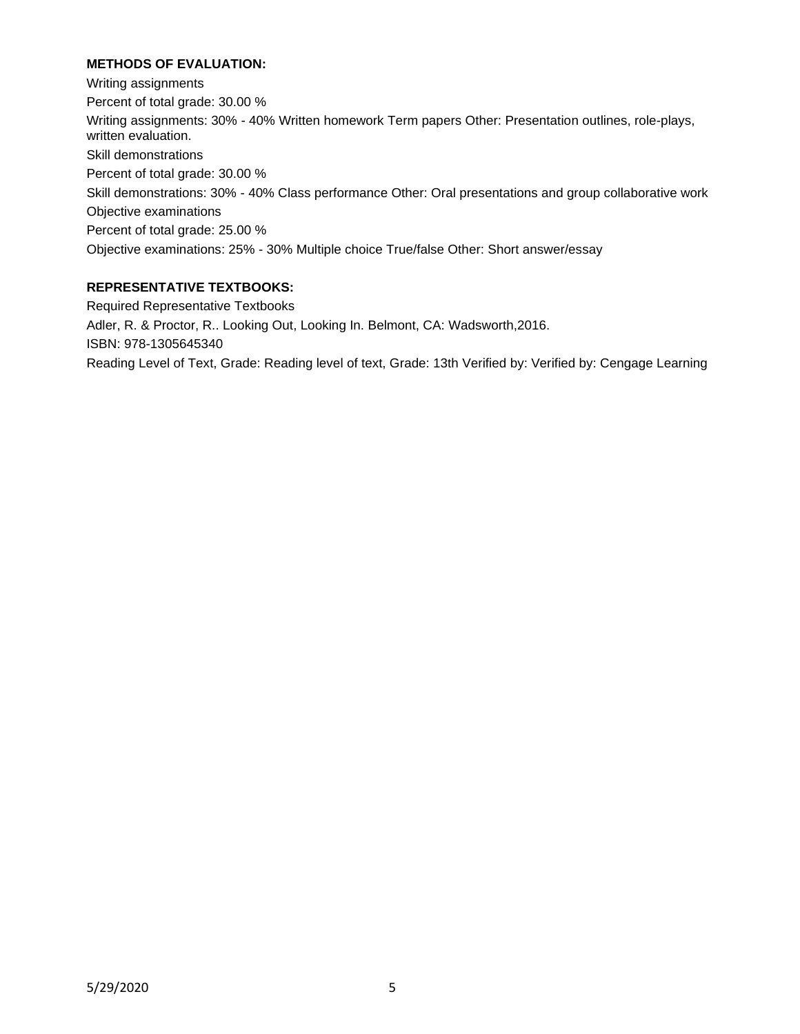# **METHODS OF EVALUATION:**

Writing assignments Percent of total grade: 30.00 % Writing assignments: 30% - 40% Written homework Term papers Other: Presentation outlines, role-plays, written evaluation. Skill demonstrations Percent of total grade: 30.00 % Skill demonstrations: 30% - 40% Class performance Other: Oral presentations and group collaborative work Objective examinations Percent of total grade: 25.00 % Objective examinations: 25% - 30% Multiple choice True/false Other: Short answer/essay

# **REPRESENTATIVE TEXTBOOKS:**

Required Representative Textbooks Adler, R. & Proctor, R.. Looking Out, Looking In. Belmont, CA: Wadsworth,2016. ISBN: 978-1305645340 Reading Level of Text, Grade: Reading level of text, Grade: 13th Verified by: Verified by: Cengage Learning